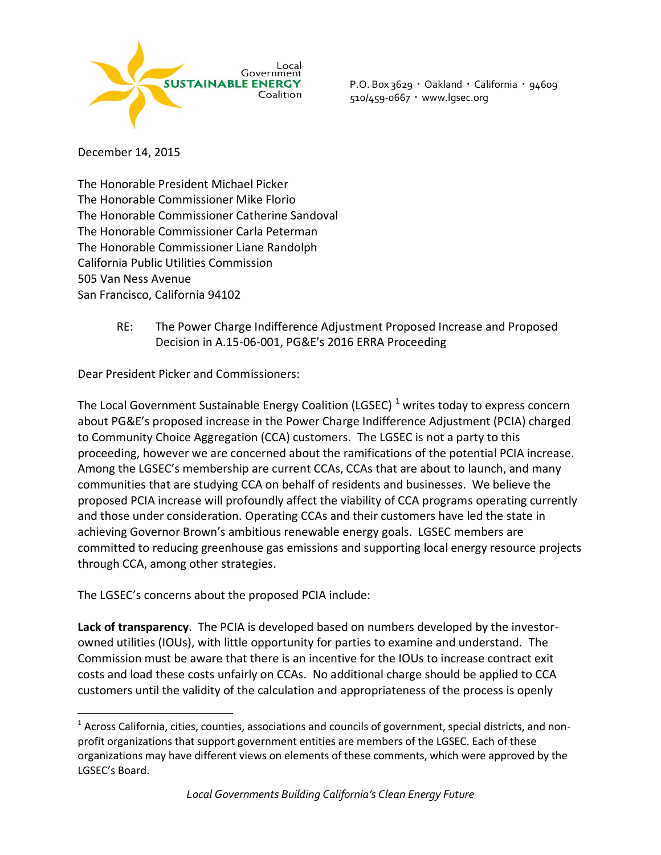

P.O. Box 3629 · Oakland · California · 94609 510/459-0667 www.lgsec.org

December 14, 2015

 $\overline{a}$ 

The Honorable President Michael Picker The Honorable Commissioner Mike Florio The Honorable Commissioner Catherine Sandoval The Honorable Commissioner Carla Peterman The Honorable Commissioner Liane Randolph California Public Utilities Commission 505 Van Ness Avenue San Francisco, California 94102

> RE: The Power Charge Indifference Adjustment Proposed Increase and Proposed Decision in A.15-06-001, PG&E's 2016 ERRA Proceeding

Dear President Picker and Commissioners:

The Local Government Sustainable Energy Coalition (LGSEC)  $^1$  writes today to express concern about PG&E's proposed increase in the Power Charge Indifference Adjustment (PCIA) charged to Community Choice Aggregation (CCA) customers. The LGSEC is not a party to this proceeding, however we are concerned about the ramifications of the potential PCIA increase. Among the LGSEC's membership are current CCAs, CCAs that are about to launch, and many communities that are studying CCA on behalf of residents and businesses. We believe the proposed PCIA increase will profoundly affect the viability of CCA programs operating currently and those under consideration. Operating CCAs and their customers have led the state in achieving Governor Brown's ambitious renewable energy goals. LGSEC members are committed to reducing greenhouse gas emissions and supporting local energy resource projects through CCA, among other strategies.

The LGSEC's concerns about the proposed PCIA include:

 **Lack of transparency**. The PCIA is developed based on numbers developed by the investorowned utilities (IOUs), with little opportunity for parties to examine and understand. The Commission must be aware that there is an incentive for the IOUs to increase contract exit costs and load these costs unfairly on CCAs. No additional charge should be applied to CCA customers until the validity of the calculation and appropriateness of the process is openly

 $^1$  Across California, cities, counties, associations and councils of government, special districts, and nonprofit organizations that support government entities are members of the LGSEC. Each of these organizations may have different views on elements of these comments, which were approved by the LGSEC's Board.